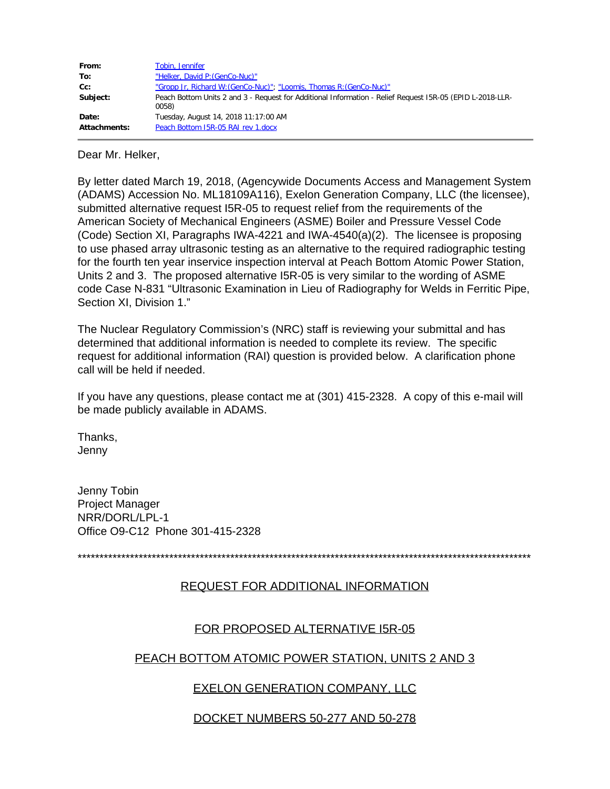| From:        | Tobin, Jennifer                                                                                                    |
|--------------|--------------------------------------------------------------------------------------------------------------------|
| To:          | "Helker, David P: (GenCo-Nuc)"                                                                                     |
| $Cc$ :       | "Gropp Jr, Richard W: (GenCo-Nuc)"; "Loomis, Thomas R: (GenCo-Nuc)"                                                |
| Subject:     | Peach Bottom Units 2 and 3 - Request for Additional Information - Relief Request 15R-05 (EPID L-2018-LLR-<br>0058) |
| Date:        | Tuesday, August 14, 2018 11:17:00 AM                                                                               |
| Attachments: | Peach Bottom 15R-05 RAI rev 1.docx                                                                                 |

Dear Mr. Helker,

By letter dated March 19, 2018, (Agencywide Documents Access and Management System (ADAMS) Accession No. ML18109A116), Exelon Generation Company, LLC (the licensee), submitted alternative request I5R-05 to request relief from the requirements of the American Society of Mechanical Engineers (ASME) Boiler and Pressure Vessel Code (Code) Section XI, Paragraphs IWA-4221 and IWA-4540(a)(2). The licensee is proposing to use phased array ultrasonic testing as an alternative to the required radiographic testing for the fourth ten year inservice inspection interval at Peach Bottom Atomic Power Station, Units 2 and 3. The proposed alternative I5R-05 is very similar to the wording of ASME code Case N-831 "Ultrasonic Examination in Lieu of Radiography for Welds in Ferritic Pipe, Section XI, Division 1."

The Nuclear Regulatory Commission's (NRC) staff is reviewing your submittal and has determined that additional information is needed to complete its review. The specific request for additional information (RAI) question is provided below. A clarification phone call will be held if needed.

If you have any questions, please contact me at (301) 415-2328. A copy of this e-mail will be made publicly available in ADAMS.

Thanks, Jenny

Jenny Tobin Project Manager NRR/DORL/LPL-1 Office O9-C12 Phone 301-415-2328

\*\*\*\*\*\*\*\*\*\*\*\*\*\*\*\*\*\*\*\*\*\*\*\*\*\*\*\*\*\*\*\*\*\*\*\*\*\*\*\*\*\*\*\*\*\*\*\*\*\*\*\*\*\*\*\*\*\*\*\*\*\*\*\*\*\*\*\*\*\*\*\*\*\*\*\*\*\*\*\*\*\*\*\*\*\*\*\*\*\*\*\*\*\*\*\*\*\*\*\*\*\*\*\*

## REQUEST FOR ADDITIONAL INFORMATION

# FOR PROPOSED ALTERNATIVE I5R-05

## PEACH BOTTOM ATOMIC POWER STATION, UNITS 2 AND 3

# EXELON GENERATION COMPANY, LLC

# DOCKET NUMBERS 50-277 AND 50-278